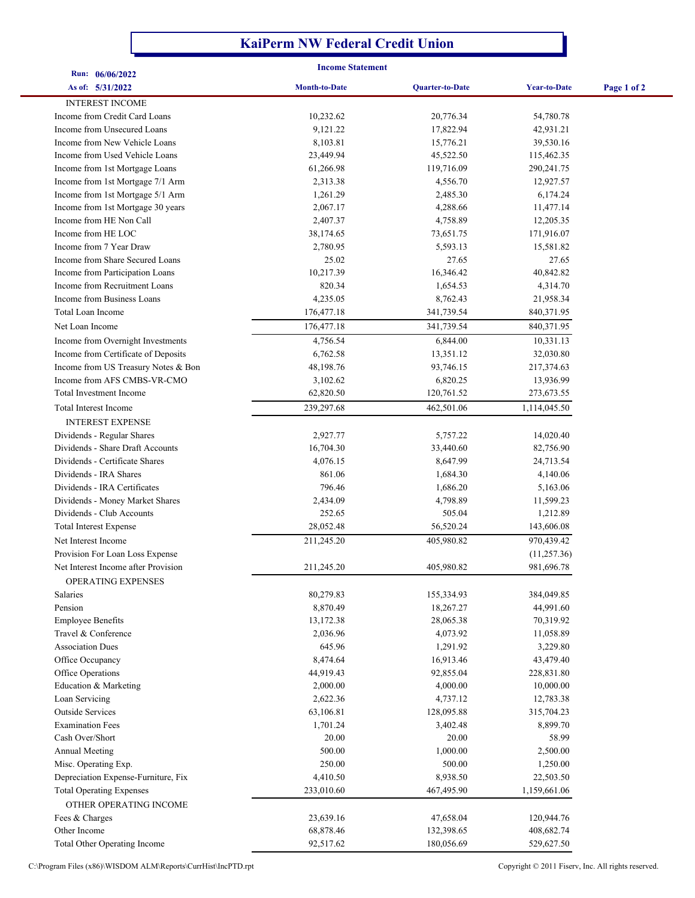## **KaiPerm NW Federal Credit Union**

| Run: 06/06/2022                                                    |                       | <b>Income Statement</b> |                        |             |  |
|--------------------------------------------------------------------|-----------------------|-------------------------|------------------------|-------------|--|
| As of: 5/31/2022                                                   | <b>Month-to-Date</b>  | <b>Quarter-to-Date</b>  | <b>Year-to-Date</b>    | Page 1 of 2 |  |
| <b>INTEREST INCOME</b>                                             |                       |                         |                        |             |  |
| Income from Credit Card Loans                                      |                       | 20,776.34               |                        |             |  |
| Income from Unsecured Loans                                        | 10,232.62<br>9,121.22 | 17,822.94               | 54,780.78<br>42,931.21 |             |  |
| Income from New Vehicle Loans                                      | 8,103.81              | 15,776.21               | 39,530.16              |             |  |
| Income from Used Vehicle Loans                                     | 23,449.94             | 45,522.50               | 115,462.35             |             |  |
| Income from 1st Mortgage Loans                                     | 61,266.98             | 119,716.09              | 290,241.75             |             |  |
| Income from 1st Mortgage 7/1 Arm                                   | 2,313.38              | 4,556.70                | 12,927.57              |             |  |
| Income from 1st Mortgage 5/1 Arm                                   | 1,261.29              | 2,485.30                | 6,174.24               |             |  |
| Income from 1st Mortgage 30 years                                  | 2,067.17              | 4,288.66                | 11,477.14              |             |  |
| Income from HE Non Call                                            | 2,407.37              | 4,758.89                | 12,205.35              |             |  |
| Income from HE LOC                                                 | 38,174.65             | 73,651.75               | 171,916.07             |             |  |
| Income from 7 Year Draw                                            | 2,780.95              | 5,593.13                | 15,581.82              |             |  |
| Income from Share Secured Loans                                    | 25.02                 | 27.65                   | 27.65                  |             |  |
| Income from Participation Loans                                    | 10,217.39             | 16,346.42               | 40,842.82              |             |  |
| Income from Recruitment Loans                                      | 820.34                | 1,654.53                | 4,314.70               |             |  |
| Income from Business Loans                                         | 4,235.05              | 8,762.43                | 21,958.34              |             |  |
| Total Loan Income                                                  | 176,477.18            | 341,739.54              | 840,371.95             |             |  |
| Net Loan Income                                                    | 176,477.18            | 341,739.54              | 840,371.95             |             |  |
|                                                                    |                       |                         | 10,331.13              |             |  |
| Income from Overnight Investments                                  | 4,756.54              | 6,844.00                |                        |             |  |
| Income from Certificate of Deposits                                | 6,762.58              | 13,351.12               | 32,030.80              |             |  |
| Income from US Treasury Notes & Bon<br>Income from AFS CMBS-VR-CMO | 48,198.76             | 93,746.15               | 217,374.63             |             |  |
|                                                                    | 3,102.62              | 6,820.25                | 13,936.99              |             |  |
| Total Investment Income                                            | 62,820.50             | 120,761.52              | 273,673.55             |             |  |
| Total Interest Income                                              | 239,297.68            | 462,501.06              | 1,114,045.50           |             |  |
| <b>INTEREST EXPENSE</b>                                            |                       |                         |                        |             |  |
| Dividends - Regular Shares                                         | 2,927.77              | 5,757.22                | 14,020.40              |             |  |
| Dividends - Share Draft Accounts                                   | 16,704.30             | 33,440.60               | 82,756.90              |             |  |
| Dividends - Certificate Shares                                     | 4,076.15              | 8,647.99                | 24,713.54              |             |  |
| Dividends - IRA Shares                                             | 861.06                | 1,684.30                | 4,140.06               |             |  |
| Dividends - IRA Certificates                                       | 796.46                | 1,686.20                | 5,163.06               |             |  |
| Dividends - Money Market Shares                                    | 2,434.09              | 4,798.89                | 11,599.23              |             |  |
| Dividends - Club Accounts                                          | 252.65                | 505.04                  | 1,212.89               |             |  |
| <b>Total Interest Expense</b>                                      | 28,052.48             | 56,520.24               | 143,606.08             |             |  |
| Net Interest Income                                                | 211,245.20            | 405,980.82              | 970,439.42             |             |  |
| Provision For Loan Loss Expense                                    |                       |                         | (11, 257.36)           |             |  |
| Net Interest Income after Provision                                | 211,245.20            | 405,980.82              | 981,696.78             |             |  |
| OPERATING EXPENSES                                                 |                       |                         |                        |             |  |
| Salaries                                                           | 80,279.83             | 155,334.93              | 384,049.85             |             |  |
| Pension                                                            | 8,870.49              | 18,267.27               | 44,991.60              |             |  |
| <b>Employee Benefits</b>                                           | 13,172.38             | 28,065.38               | 70,319.92              |             |  |
| Travel & Conference                                                | 2,036.96              | 4,073.92                | 11,058.89              |             |  |
| <b>Association Dues</b>                                            | 645.96                | 1,291.92                | 3,229.80               |             |  |
| Office Occupancy                                                   | 8,474.64              | 16,913.46               | 43,479.40              |             |  |
| Office Operations                                                  | 44,919.43             | 92,855.04               | 228,831.80             |             |  |
| Education & Marketing                                              | 2,000.00              | 4,000.00                | 10,000.00              |             |  |
| Loan Servicing                                                     | 2,622.36              | 4,737.12                | 12,783.38              |             |  |
| <b>Outside Services</b>                                            | 63,106.81             | 128,095.88              | 315,704.23             |             |  |
| <b>Examination Fees</b>                                            | 1,701.24              | 3,402.48                | 8,899.70               |             |  |
| Cash Over/Short                                                    | 20.00                 | 20.00                   | 58.99                  |             |  |
| <b>Annual Meeting</b>                                              | 500.00                | 1,000.00                | 2,500.00               |             |  |
| Misc. Operating Exp.                                               | 250.00                | 500.00                  | 1,250.00               |             |  |
| Depreciation Expense-Furniture, Fix                                | 4,410.50              | 8,938.50                | 22,503.50              |             |  |
| <b>Total Operating Expenses</b>                                    | 233,010.60            | 467,495.90              | 1,159,661.06           |             |  |
| OTHER OPERATING INCOME                                             |                       |                         |                        |             |  |
| Fees & Charges                                                     | 23,639.16             | 47,658.04               | 120,944.76             |             |  |
| Other Income                                                       | 68,878.46             | 132,398.65              | 408,682.74             |             |  |
| Total Other Operating Income                                       | 92,517.62             | 180,056.69              | 529,627.50             |             |  |

C:\Program Files (x86)\WISDOM ALM\Reports\CurrHist\IncPTD.rpt Copyright © 2011 Fiserv, Inc. All rights reserved.